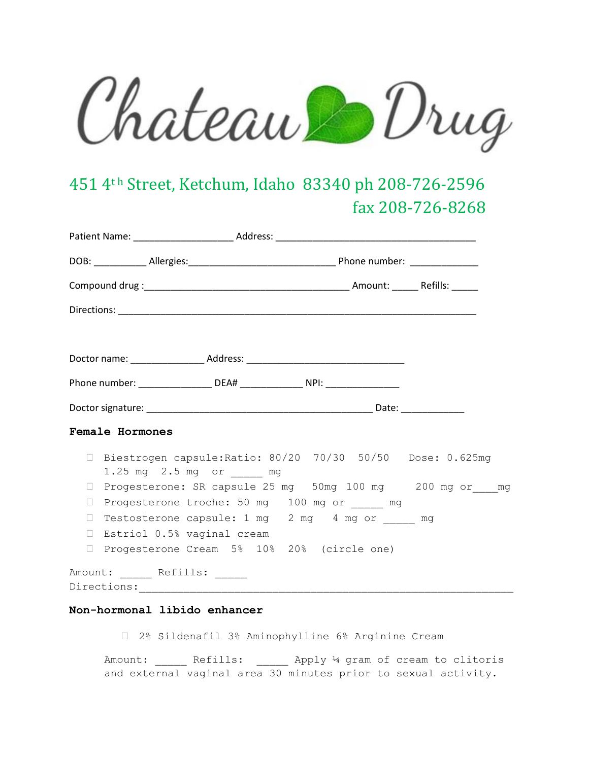Chateau Drug

## 451 4th Street, Ketchum, Idaho 83340 ph 208-726-2596 fax 208-726-8268

|        | Phone number: ____________________ DEA# _________________ NPI: _________________               |  |
|--------|------------------------------------------------------------------------------------------------|--|
|        |                                                                                                |  |
|        | Female Hormones                                                                                |  |
|        | □ Biestrogen capsule: Ratio: 80/20 70/30 50/50 Dose: 0.625mg<br>1.25 mg   2.5 mg   or _____ mg |  |
|        | □ Progesterone: SR capsule 25 mg 50mg 100 mg  200 mg or mg                                     |  |
| $\Box$ | Progesterone troche: 50 mg 100 mg or _____ mg                                                  |  |
| $\Box$ | Testosterone capsule: 1 mg 2 mg 4 mg or _____ mg                                               |  |
| $\Box$ | Estriol 0.5% vaginal cream                                                                     |  |
| $\Box$ | Progesterone Cream 5% 10% 20% (circle one)                                                     |  |
|        | Amount: _____ Refills: ____<br>Directions:                                                     |  |
|        |                                                                                                |  |

## **Non-hormonal libido enhancer**

2% Sildenafil 3% Aminophylline 6% Arginine Cream

Amount: \_\_\_\_\_ Refills: \_\_\_\_\_ Apply 14 gram of cream to clitoris and external vaginal area 30 minutes prior to sexual activity.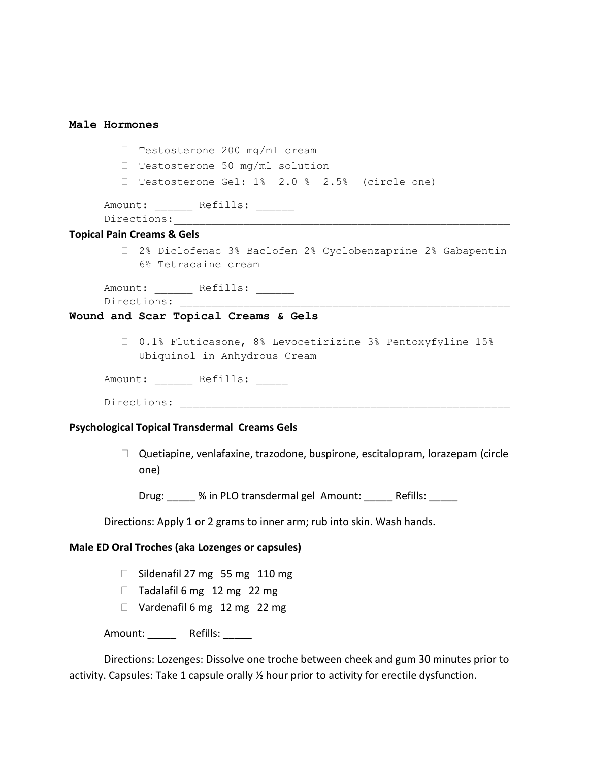| Male Hormones |                                                                                               |
|---------------|-----------------------------------------------------------------------------------------------|
|               | Testosterone 200 mg/ml cream<br><b>College</b>                                                |
|               | $\Box$ Testosterone 50 mg/ml solution                                                         |
|               | □ Testosterone Gel: 1% 2.0 % 2.5% (circle one)                                                |
|               | Amount: _______ Refills: ______                                                               |
|               |                                                                                               |
|               | <b>Topical Pain Creams &amp; Gels</b>                                                         |
|               | □ 2% Diclofenac 3% Baclofen 2% Cyclobenzaprine 2% Gabapentin<br>6% Tetracaine cream           |
|               | Amount: ______ Refills: _____                                                                 |
|               | Wound and Scar Topical Creams & Gels                                                          |
|               | □ 0.1% Fluticasone, 8% Levocetirizine 3% Pentoxyfyline 15%<br>Ubiquinol in Anhydrous Cream    |
|               | Amount: Refills:                                                                              |
|               | Directions:                                                                                   |
|               | <b>Psychological Topical Transdermal Creams Gels</b>                                          |
|               | $\Box$ Quetiapine, venlafaxine, trazodone, buspirone, escitalopram, lorazepam (circle<br>one) |
|               | Drug: % in PLO transdermal gel Amount: Refills:                                               |
|               | Directions: Apply 1 or 2 grams to inner arm; rub into skin. Wash hands.                       |
|               | Male ED Oral Troches (aka Lozenges or capsules)                                               |
|               | Sildenafil 27 mg 55 mg 110 mg<br>П                                                            |
|               | Tadalafil 6 mg 12 mg 22 mg<br>П                                                               |
|               | $\Box$ Vardenafil 6 mg 12 mg 22 mg                                                            |
|               | Amount: _______ Refills: ______                                                               |
|               | Directions: Lozenges: Dissolve one troche between cheek and gum 30 minutes prior to           |

activity. Capsules: Take 1 capsule orally  $\frac{1}{2}$  hour prior to activity for erectile dysfunction.